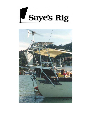

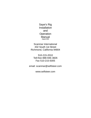Saye's Rig Installation and **Operation** Manual **August 2010**

Scanmar International 432 South 1st Street Richmond, California 94804

510-215-2010 Toll-free 888-946-3826 Fax 510-215-5005

email: scanmar@selfsteer.com

www.selfsteer.com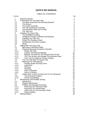# **SAYE'S RIG MANUAL**

# TABLE OF CONTENTS

| Paragraph        |                                                   | Page                               |
|------------------|---------------------------------------------------|------------------------------------|
| 1                | <b>Welcome Aboard</b>                             | $\mathbf{2}$                       |
| $\overline{2}$   | A Description Of The Saye's Rig                   | $\overline{2}$                     |
| 2.1              | The Base Assembly And Mounting Brackets           | 4                                  |
| $2.2\phantom{0}$ | The Airvane                                       | 4                                  |
| 2.3              | The Clutch Assembly                               | 4                                  |
| 2.4              | The Tab Suspension Assembly                       |                                    |
| 2.5              | The Pendulum Shaft And Trimtab                    |                                    |
| 2.6              | The Tiller Arm                                    | 55555                              |
| 3                | Installing The Saye's Rig                         |                                    |
| 3.1              | The Installation Drawing                          |                                    |
| 3.2              | Installing The Base Assembly And Brackets         | 6                                  |
| 3.3              | Installing The Tiller Arm                         | $\overline{7}$                     |
| 3.4              | <b>Fitting The Pendulum Shaft</b>                 | 8                                  |
| 3.5              | Nameboards And Swim Ladders                       | 8                                  |
| 3.6              | Davits                                            | $\boldsymbol{9}$                   |
| 4                | Sailing With The Saye's Rig                       | $\boldsymbol{9}$                   |
| 4.1              | Becoming A Windvane Sailor                        | $\boldsymbol{9}$                   |
| 4.2              | <b>Standard Operating Procedure Checklist</b>     | $\boldsymbol{9}$                   |
| 4.2.1            | <b>Ready The Gear</b>                             | $\boldsymbol{9}$                   |
| 4.2.2            | <b>Assume The Desired Heading</b>                 | 10                                 |
| 4.2.3            | Balance The Boat For The Desired Point Of Sail    | 10                                 |
| 4.2.4            | Trim The Airvane And Engage The Windvane Gear     | 10                                 |
| 4.2.5            | Fine Tune For Optimum Course-Holding              | 10                                 |
| 4.3              | Your First Sail With The Saye's Rig               | 11                                 |
| 4.4              | <b>Balancing For Self-Steering</b>                | 12                                 |
| 4.4.1            | Problem Boats And Easy Ones                       | 12 <sub>2</sub><br>12 <sub>2</sub> |
| 4.4.2            | Light Wind                                        | 12 <sub>2</sub>                    |
| 4.4.3<br>4.4.4   | Running                                           | 14                                 |
| 4.4.5            | Reaching<br><b>Hard To Weather</b>                | 15                                 |
| 4.4.6            | Give It A Chance                                  | 15                                 |
| 4.5              | Useful Hints To Get The Most Out Of Your Windvane | 15                                 |
| 4.5.1            | The Downwind Problem                              | 16                                 |
| 4.5.2            | <b>Friction And Binding</b>                       | 16                                 |
| 5                | Maintenance And Problem Solving                   | 17                                 |
| 5.1              | Appearance                                        | 17                                 |
| 5.2              | <b>Regular Maintenance</b>                        | 17                                 |
| 5.3              | <b>Problem And Damage Prevention</b>              | 17                                 |
| 5.3.1            | Removing The Pendulum Shaft                       | 17                                 |
| 5.3.2            | <b>Removing The Airvane Mast</b>                  | 18                                 |
| 5.3.3            | Safety Line On The Pendulum Shaft                 | 18                                 |
| 5.3.4            | <b>Heavy Weather</b>                              | 18                                 |
| 6                | <b>Making Repairs</b>                             | 18                                 |
|                  |                                                   |                                    |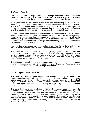#### 1 Welcome Aboard

Welcome to the ranks of Saye's Rig sailors. We hope you will be as satisfied with the Saye's Rig as we are. The Saye's Rig is built to give a lifetime of excellent performance and to take the kind of punishment the sea sometimes delivers.

Many yachtsmen are still unfamiliar with windvane self-steering gears. They view windvane gears as oddities used by single-handed race heroes and circumnavigators. The truth is that a good windvane gear, such as the Saye's Rig, is a useful piece of equipment even on short passages of no more than an hour or so. Once the freedom of sailing with the Saye's Rig has been experienced, this will be fully appreciated.

In order to enjoy the experience of self-steering, the windvane gear must, of course, work. Unfortunately, windvane self-steering is not a push button phenomenon. Knowing how to sail and how to balance your boat on different points of sail is necessary to get the most from the gear. Even experienced ocean racing sailors have confessed that windvane sailing has taught them some things they did not know about balancing and trimming a boat.

However, this is no excuse for inferior performance. The Saye's Rig is built with no corners cut and with the greatest consideration for performance and durability.

The Saye's Rig is recommended for boats with hydraulic steering, tiller, or cable and quadrant (when the wheel can be removed easily). With hydraulic steering, a bypass valve is needed to enable the windvane to move the rudder. Note that a hydraulic steering system cannot be easily moved "in reverse" and the Saye's Rig is not recommended for boats without a bypass valve.

This extensive manual is provided because windvane self-steering requires some learning and experimenting before one becomes a perfect operator. Proper installation and proper operation are essential. We hope you read this manual.

# 2 A Description Of The Saye's Rig

The Saye's Rig adds a simple pendulum and trimtab to your boat's rudder. The airvane controls the Saye's Rig pendulum shaft and trimtab which is connected to the boat's rudder by a tiller arm. This windvane design was first developed by Roland Saye, a Southern California engineer. Scanmar Marine Products purchased the productiuon rights and began manufacturing the Saye's Rig in 1985 after Roland retired.

The signal from an airvane is always comparatively weak and usually not, in itself, powerful enough to correct the course of the boat. However, by using this signal to control a power source, a wind powered system steers exceptionably well. The Saye's Rig design amplifies the force of the windvane's signal. It uses the boat's own speed through the water on the trimtab as a power source. The length of the tiller arm between the boat's rudder and the pendulum shaft provides further amplification of power, resulting in a much more powerful system than a trimtab hung on the back of an outboard rudder.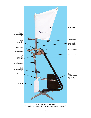

Saye's Rig on display stand (Pendulum shaft and tiller bar are necessarily shortened)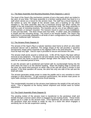# 2.1 The Base Assembly And Mounting Brackets (Parts Diagrams 1 and 2)

The heart of the Saye's Rig mechanism consists of just a few parts which are bolted to the stern of your boat. The base assembly is a bronze casting which has fixed to it a staff which serves as a mount for the airvane mast. The staff has a thrust bearing on the bottom to carry the weight of the airvane mast, and a bushing on top which steadies it. The base assembly also has a machined bronze ball which carries the weight of the tab suspension assembly and the pendulum shaft. The base assembly is held by a pair of mounting brackets. The brackets can be one of two different types deck mounted, or transom mounted. The transom mount is used in most installations. It uses just two bolts. The deck mount uses four bolts. In either case, the installation is simple and the mounting strong. The mount is not heavily loaded. The Saye's Rig attachment is universally adaptable to all kinds of stern configurations but is particularly suited to "traditional style" transoms.

# 2.2 The Airvane (Parts Diagram 4)

The airvane of the Saye's Rig is a tubular stainless steel frame to which an ultra violet protected dacron sail is attached. The wedge shape of the sail provides a sensitive aerodynamic shape which responds to the slightest shift in the wind direction. This sail must be kept very tight. Dacron rope is provided to secure and tension the sails.

The airvane shaft pivots around a vertical axis. It lifts off the Saye's Rig base without removal of any fasteners. The dacron sail and tubular struts holding the sail are easily removed from the frame to permit compact storage when the Saye's Rig is not to be used for an extended period of time.

In use the airvane sail is positioned and locked with its counterweight facing into the wind when the boat is on the desired heading. When the leading edge is turned into the wind, the equal wind pressure on either side of the sail will cause it remain in that position. If the boat wanders off course, the wind hits only one side of the sail and the shaft will rotate.

The airvane generates ample power to rotate the paddle and is very sensitive to minor changes in wind direction. To get maximum performance, the airvane mast pivots on nylon balls running in a machined bronze thrust bearing.

The counterweight mounted on the airvane mast balances the weight of the sail and its struts. This is adjusted at the factory before shipment and should need no further adjustment.

# 2.3 The Clutch Assembly (Parts Diagram 5)

The pivoting motion of the airvane mast is transferred to the pendulum shaft and trimtab through a bronze clutch which is engaged by two locking knobs. These knobs tighten up on a collar on the airvane mast. Once tightened, the airvane mast causes the pendulum shaft and trimtab to rotate by way of a clutch link which engages a sensitivity bar on the tab suspension casting.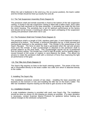When the sail is feathered in the wind (e.g. the on-course position), the boat's rudder and the trimtab should be lined up exactly fore and aft.

# 2.4 The Tab Suspension Assembly (Parts Diagram 6)

The pendulum shaft and trimtab assembly is fixed to the bottom of the tab suspension casting. A socket in the tab suspension casting is fitted with a teflon insert, and it rides on a bronze ball machined on the base assembly. A sensitivity bar holds the link from the clutch housing. The sensitivity bar is set for optimum performance at the factory and should not be moved. A locking pin allows for quick unshipping of the suspension casting and pendulum shaft when not in use.

# 2.5 The Pendulum Shaft And Trimtab (Parts Diagram 3)

The pendulum shaft is a length of 316L stainless steel pipe. A semi-balanced trimtab is attached at its bottom. The trimtab, a reinforced fiberglass lay-up, is both epoxied and mechanically fastened to the pendulum shaft. This trimtab is the powerhouse of the Saye's Rig gear. The force to steer the boat is generated when the sail and airvane mast turns this trimtab. A lead counterweight is attached to the pendulum shaft to provide balance as the boat heels. This counterweight should not be re-positioned from its factory setting. The trimtab has a NACA high lift profile, and its leading edge is moved forward of the center of rotation to semi-balance the blade. This allows the airvane to rotate the pendulum shaft with a minimum of force thus improving the light air performance of the gear.

# 2.6 The Tiller Arm (Parts Diagram 3)

The Saye's Rig requires no lines to the boat's steering system. The power of the trimtab is transmitted directly to the boat's rudder via a tiller arm which is attached directly to the rudder.

# 3 Installing The Saye's Rig

The installation procedure consists of two steps - installing the base assembly and brackets on the transom or hull, and installing the tiller bar on the boat's rudder. The tiller bar installation requires hauling out the boat to gain access to the rudder.

# 3.1 Installation Drawing

A scale installation drawing is provided with each new Saye's Rig. The installation should be done as shown on this drawing as closely as possible. If a major deviation is necessary, contact Scanmar Marine Products for guidance before making any radical changes to the windvane components.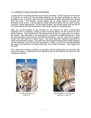# 3.2 Installing The Base Assembly And Brackets

Loosely bolt the mounting brackets to the base assembly. Set the brackets on the deck or transom as shown on the mounting drawing, on the boat centerline as high as possible so you can easily reach the top of the pendulum shaft and suspension casting from the deck. This location should enable you to easily install or remove the pendulum shaft at sea. It should also be easily reached to adjust the two clutch locking knobs for course adjustments. At this same location, the airvane mast must be free to turn 360o without the sail striking stern rails, davits, pulpits, or anything else.

Mark the correct location of the brackets on the transom (or deck if using deck brackets) and, if necessary, shape a wood mounting block to fit the contour of your boat's transom. The outside face of the transom wood block (if used) does not need to be vertical. This step often is not necessary on a boat with a traditional transom. Mark the hole locations on the transom and drill the bolt holes - two 1/2" holes for a transom mount, four 3/8" holes for a deck mount. Use same diameter stainless steel bolts to fasten the brackets in place. The bolts are not furnished because their length depends on the thickness of the hull and the wood block, if fitted. Loosen the two bolts holding the base to the brackets and adjust the base so the staff is vertical. Then tighten the two bolts.

On a boat with a reverse transom, a boomkin must be constructed so that when the base is mounted, it extends aft of the aftermost part of the transom as shown on the installation drawing.



Transom brackets on a Roberts 43



Deck brackets on the boomkin grating of a Union 36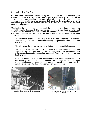#### 3.3 Installing The Tiller Arm

The boat should be hauled. Before hauling the boat, install the pendulum shaft (with suspension casting attached) on the base assembly and allow it to hang vertically in the water. Mark the pendulum shaft with a piece of tape where it enters the water. Measure the horizontal distance between that point on the pendulum shaft to a convenient spot low on the transom and record it. This measurement will be used when installing the tiller arm.

After hauling the boat, the location and angle for permanently bolting the tiller arm to the rudder can be determined. Hang the pendulum shaft from the base assembly and position it so the mark on the shaft matches the dimension taken as described above. The correct mounting location of the tiller arm on the rudder will meet the following conditions:

The tip of the tiller arm should be slightly out of the water when the boat is at rest. This allows you to see the end when installing the pendulum shaft through the tiller arm.

The tiller arm will slope downward somewhat as it runs forward to the rudder.

The aft end of the tiller arm should end about 1" FORWARD of the pendulum shaft when the pendulum shaft is positioned vertically as described above. This will make the bottom of the pendulum shaft angle forward when it is installed into the tiller arm.

When the pendulum shaft is fitted inside the tiller arm it must be possible to turn the rudder to the extreme port or starboard thus moving the pendulum shaft without interference between the pendulum shaft, trimtab paddle and the tiller arm. Be extra careful to check this clearance on spade rudders.



Rudder plates on a Huntingford design Fairing shims added to the rudder of a



Tashiba 40 Pilothouse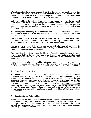When these steps have been completed, it is time to mark the correct location of the rudder plates on the rudder. The tiller arm is attached to the rudder with two stainless steel rudder plates and the 5/16" threaded rod provided. The rudder plates have been pre-drilled at the factory for fastening to the rudder and tiller arm.

Unless the rudder is flat and about four inches thick, wooden fairing blocks may need to be made to go between the rudder plates and the rudder. The goal is having the rudder plates laying flat and parallel with each other. Fairing blocks and possibly internal bracing may be necessary when the rudder is a foam core with a thin fiberglass shell.

The rudder plates and fairing blocks should be positioned and clamped on the rudder. Six all thread bolts should be prepared by cutting the 5/16" threaded rod to the appropriate lengths.

Before drilling, insert the tiller arm into the clamped side plates to insure that they are parallel to each other and the tiller arm is positioned correctly. Remove the tiller arm, and drill and bolt the rudder plates to the rudder using a good bedding compound.

Now install the tiller arm. If the side plates are parallel, little force will be needed to position the tiller arm into the rudder plates. If not, adjustment may be needed to slightly reposition the rudder plate mountings.

Review the Installation Drawing and the Tiller Arm/Pendulum Shaft Alignment Drawing. It is possible that the tiller arm may need to be shortened so that the pendulum shaft will operate at the correct angle. If so, shorten the tiller arm in accordance with the installation drawing.

Insert the tiller arm fully into the rudder plates and mark it through the pilot holes predrilled in the rudder plates. Remove the tiller arm, drill 1/4" holes at the marked positions, reinstall into the rudder plates and bolt in place with the 1/4" bolts provided.

# 3.4 Fitting The Pendulum Shaft

The pendulum shaft is shipped ready for use. Do not cut the pendulum shaft without first contacting with Scanmar Marine Products and talking to a mounting designer. If it is necessary to shorten the pendulum shaft, remove the nut and bolt on the tab suspension assembly and remove the tab suspension assembly. After cutting the pendulum shaft to the correct length, replace the tab suspension assembly. A new ¼" hole must be drilled for the tab suspension assembly bolt. *The tab suspension assembly must be located in the same plane, fore and aft, as the as the paddle and on the same side of the pendulum shaft as before the cut.* When you are sure the tab suspension assembly is positioned correctly, re-drill the 1/4" hole and replace the safety bolt.

# 3.5 Nameboards And Swim Ladders

Some owners let the position of a nameboard or swim ladder dictate the mounting level of the windvane gear. This is a faulty order of priorities if the Saye's Rig is intended for serious use as a self-steering system. The Saye's Rig tirelessly performs the work of several crew members. Its importance can only be appreciated by sailing a passage with the gear and then without it.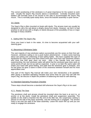The correct positioning of the windvane is of great importance for the system to work well. Usually the Saye's Rig mounts above a nameboard. Centrally mounted swim ladders will normally have to be moved to the side to accommodate the Saye's Rig mount. This is normally quite easily done, since the bracket assembly is quite narrow.

# 3.6 Davits

The Saye's Rig is often mounted on boats with davits. The airvane mast can usually be designed to carry the sail above a dinghy slung from davits. However, we feel it is bad practice to sail at sea with a dinghy on davits because of the possibility of loss or major damage in heavy weather.

# 4. Sailing With The Saye's Rig

Once your boat is back in the water, it's time to become acquainted with your selfsteering gear.

# 4.1 Becoming A Windvane Sailor

The vast majority of new windvane sailors successfully use the vanes on their first sail. However, windvane sailing is not a push button phenomenon - it takes some learning about sail setting and unlearning of bad sailing habits. We have supplied this type of equipment for many years and have heard more than once from new windvane owners who think that their gear does not work. After a few friendly hints and some experimenting, the new windvane sailor will admit that the windvane gear does work on some points of sail, but not as well as expected. A year or so later the same sailor will shake your hand with great feeling, and state that the windvane gear is fantastic, and he has given his gear a name in token of the closeness between himself and his most appreciated crew.

This part of the Saye's Rig manual will make your own introduction a bit speedier. After giving a standard operating checklist and some hints for your first sail with the Saye's Rig, we discuss in depth the problem of balancing the boat for self-steering.

# 4.2 Standard Operating Procedure Checklist

These steps should become a standard drill whenever the Saye's Rig is to be used.

# 4.2.1 Ready The Gear

The pendulum shaft and airvane should be mounted when the boat is at rest (i.e. at anchor or at the dock). Install the pendulum shaft and suspension assembly. The paddle on the shaft is inserted into the end of the tiller bar, the suspension casting is placed on the ball of the base assembly, and the locking pin is engaged. The airvane mast is set onto the staff of the base assembly. Leave the clutch link up until you are ready to engage the windvane.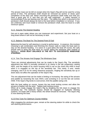The airvane mast can be left on except when the Saye's Rig will not be used for a long period of time. The pendulum shaft should be removed (at anchor or dock) upon completion of the days sail. When mounting the pendulum shaft make sure that you have a good grip on it, and that you are well supported - a safety harness is recommended if you are leaning over the stern. The safety line which is secured to the pendulum shaft should always be tied to the boat before installation or removal. If you are underway and must install or remove the pendulum shaft, slow the boat to a safe minimum speed.

# 4.2.2 Assume The Desired Heading

Get out in open water where you can maneuver and experiment. Set your boat on a long board where it will not be necessary to tack.

# 4.2.3 Balance The Boat For The Desired Point Of Sail

Balancing the boat for self-steering is crucial to performance. In essence, this involves choosing a sail combination and trimming the chosen sails to make the boat want to stay on the desired heading. If a wave or a gust takes the boat off course, the sails should start to bring the boat back on course aiding the windvane gear instead of fighting it. *GOOD BOAT BALANCE IS THE KEY TO SUCCESSFUL WINDVANE STEERING.*

# 4.2.4 Trim The Airvane And Engage The Windvane Gear

There are minimal adjustments that can be made to the Saye's Rig. The sensitivity adjustment bar #604 is normally centered in its clamp in the tab suspension casting #602, and the height of he clutch housing #403 is set so the clutch link #405 is level when it is engaged on the top of the sensitivity bar. This rarely, if ever, needs changing, and if so it's for swing clearance purposes. Angling the sensitivity bar up or down does not affect the operation of the Saye's Rig.

The one adjustment that can be made is limiting or increasing the swing of the airvane and paddle by loosening the nuts #404.1 and screwing in or out the two set screws #406. If the Saye's Rig tends to overcorrect, limit the paddle swing a bit.

With the boat sailing on course, loosen the two knob locking screws and allow the airvane to feather into the wind. Tighten both locking screws When all is ready engage the Saye's Rig by dropping the link down to engage the sensitivity bar. The hydraulic bypass should be engaged on hydraulic steering systems. On boats with a heavy wheel, the wheel should be removed. The Saye's Rig is now steering the boat.

# 4.2.5 Fine Tune For Optimum Course-Holding

After engaging the windvane gear, remain at the steering station for while to check the self-steering performance.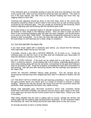If the windvane gear is constantly working to keep the boat from deviating to one side of the course only, sails must be trimmed to bring the boat into balance. The same is true if the boat spends very little time on the desired heading and more time zigzagging widely to each side.

Trimming and adjusting should be done so the boat stays close to the course line. Deviations should be small on BOTH sides of the course line as well as being quickly corrected by the windvane gear. This can usually be achieved by fine-trimming, which involves adjusting sails and tinkering with the windvane gear itself.

Since fine-tuning is an important aspect of ultimate windvane performance, it will also be treated in more depth in the following section. Here we want to point out that if there is any remaining imbalance after the gear has been engaged, you should always try to work it out by SAIL TRIM FIRST. The objective of balancing should be to have as neutral a helm as possible. Try to steer the boat with sails alone. This will insure that the boat keeps on self-steering over a wider range of conditions.

# 4.3 Your First Sail With The Saye's Rig

If you have never sailed with a windvane gear before, you should find the following hints especially helpful during your first sail.

If possible, choose a day with a DECENT BREEZE, 10-15 knots or so. Trying the windvane gear out with too much or too little wind will complicate your observation of what the windvane is doing on this first sail.

DO NOT OVER CANVAS. If the boat can be sailed well on a jib alone, SET A JIB ONLY, at least for starters. Avoid dealing with a lot of sheets, potentially gibing booms, and a boat rushing along with her lee rail under. Concentrate on the gear and making it work on all points of sail. Avoid the problems of handling the boat and concentrate on self-steering. Add sail area after becoming familiar with the workings and operation of the Saye's Rig.

START BY SAILING UPWIND without really pinching. Turn the airvane sail by loosening the locking knobs then retightening them after it is allowed to feather into the wind.

LET THE BOAT SETTLE DOWN with the self-steering controlling it. Even if the boat is not going exactly where you intend, give it a couple of minutes to assume a steady heading. Observe the way the airvane sail moves and how this movement sends the pendulum shaft swinging and the boat's own rudder turning.

MOVE THE AIRVANE SAIL SETTING SLIGHTLY WITH THE LEADING EDGE POINTING FURTHER UPWIND, and observe how the boat is taken closer to the wind. Once again give the boat and the control system time to settle down. Retrim your sails if necessary.

After being satisfied that the boat is sailing well on course, change the airvane sail setting again with the leading edge pointing further downwind. As the windvane makes the boat bear off, retrim the sheets and let the boat settle down on the new course.

Go through all points of sail in a similar fashion.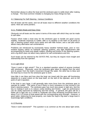Remember always to allow the boat and the windvane gear to settle down after making a change. The most common mistake is changing too many things too fast.

#### 4.4 Balancing For Self-Steering - Various Conditions

Not all boats sail the same, and not all boats react to different weather conditions the same. Here are some pointers.

#### 4.4.1 Problem Boats and Easy Ones

Obviously not all boats are the same in terms of the ease with which they can be made to self-steer.

Factors which make a boat easy for the windvane gear to handle are good course stability, moderate response to rudder, little or no weather or lee helm on all points of sail, a steering system which turns easily and with little friction, and a sail plan which allows many alternative sail combinations.

Problems are introduced by excessively heavy weather helmed boats, poor or nonexistent bypass valves on hydraulic steering systems, very light displacement with accompanying fin keels and spade rudders, binding and friction in the steering system, and a rig which does not allow many options for sail combinations and trim.

Such boats can be steered by the SAYE'S RIG, but they do require more insight and seamanship from the operator.

#### 4.4.2 Light Wind

"Does it work in light winds?" This is a standard question asked of anyone involved with windvanes. Obviously, since the windvane gear takes its signals from the wind and its power from the boat's movement though the water, the wind has to blow and the boat has to move for the windvane gear to work.

How little it can blow and how slow the boat can travel with the gear still functioning depends to a great extent on the boat itself, on the skill of the operator, and on the point of sail in question.

If the boat is very large, it will generally take more force from the windvane gear to operate its rudder. The same is true if there is much resistance to free turning in the boat's steering system. The windvane gear has much less power in light airs, and the key to making it work is to reduce undue binding and friction. Light air performance can be vastly improved by balancing and fine tuning. In general, the gear will do a better job in light airs on a small or moderate size boat remaining functional down to about  $\dot{2}$  to 2-1 $\dot{2}$  knots of boat speed with the corresponding wind strength. However, a good sailor, balancing his boat properly, can make the Saye's Rig steer a large boat in surprisingly light conditions.

# 4.4.3 Running

"Does it work downwind?" This question is as common as the one about light winds.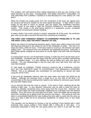The problem with self-steering when sailing downwind is that you are moving in the same direction as the wind. Consequently, THE WIND VELOCITY AVAILABLE TO THE AIRVANE FOR CORRECT SIGNALS IS DECREASED BY THE SPEED OF THE BOAT.

While the trimtab has ample power from the movement of the boat, the signals from the airvane sail become weaker as the wind speed decreases. In light winds it takes longer for the gear to return to neutral, and the Saye's Rig sometimes becomes outright erratic or too weak to fight the frictional resistance in the boat's steering system. This results in the boat being steered in a serpentine course, constantly crossing and recrossing the desired heading.

In heavy winds if too much canvas is carried, especially aft of the mast, the windvane gear may not be able to prevent the boat from rounding up completely.

#### *THE FIRST AND FOREMOST REMEDY TO DOWNWIND PROBLEMS IS TO USE THE RIGHT SAILS AND THE RIGHT AMOUNT OF SAIL.*

Before the advent of mechanical windvane gears, boats were sailed around the world self-steering downwind in the trades by use of twin headsails on poles. The trick is to sheet the twins a little bit loose. If the boat wants to round up, the leeward sail starts spilling wind. The pressure from the windward sail gradually increases, acting like a giant finger gently nudging the boat back on course again until both sails are drawing equally.

If cruising plans are for a lot of downwind cruising, it might pay off to set the boat up for twin headsails. Combined with the Saye's Rig this set-up gives excellent self-steering even on problem boats. It is also efficient as well as being very safe and easy to manage. The only disadvantage is that the boat rolls more with twins than with the main and headsail.

IF THE MAIN IS CARRIED, THERE SHOULD ALWAYS BE A FORESAIL POLED OUT ON THE OPPOSITE SIDE TO COUNTERACT THE MAINSAIL'S STEERING FORCE. This is an adequate sail combination for self-steering on almost any boat using the SAYE'S RIG.

If sail must be drastically reduced, take the main down and leave the poled-out jib hoisted. Although the pressure from a single jib is on one side of the boat, it is concentrated at the bow providing better balance and letting the windvane gear handle the boat with relative ease.

Let us assume that only the main is carried. If the wind is fresh, steering will be like walking a tight rope. A very attentive helmsman may be able to keep the boat on course by instantly countering every move away from the course line. However, this choice of sail makes the boat increasingly unbalanced as it deviates from the desired heading. Once off course, the boat gets out of hand. Even full rudder will not keep the boat from rounding up or gibing once the process has begun. The pressure from the wind is concentrated behind the mast making the boat want to point into the wind as soon as it gets a little bit off its precarious equilibrium of sailing more or less dead downwind.

This situation can be likened to moving a cart by pushing it from behind with a stick (mainsail only) versus pulling it from ahead with a string (jib or twin jibs). It is practically impossible to keep the cart going where you want it to go with the stick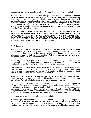especially if any kind of speed is involved. A cart will follow nicely when pulled.

The spinnaker is set ahead of the mast and gives good balance. Trouble can happen because spinnakers are tremendously powerful. The spinnaker makes the boat move fast downwind. Since the sail is not hanked onto any controlling stay or track, it will continue to exert pressure long after a poled-out foresail would spill its wind. Because of the size of the sail, this pressure can be enormous and completely overpower the boat's rudder, as anyone knows who has experienced his first spinnaker broach. Therefore, the spinnaker should be used in ideal weather only after experiencing with how the Saye's Rig will steer the boat.

#### To sum up: *BALANCED DOWNWIND SAILS FLOWN FROM THE BOW GIVE THE BEST AND SELF-STEERING. IF POSSIBLE, THESE SHOULD BE POLED OUT ON EACH SIDE OF THE HULL. WHEN THE MAIN IS USED, IT SHOULD ALWAYS BE COUNTERBALANCED BY A POLED-OUT FORESAIL ON THE OPPOSITE SIDE. OVER CANVASSING SHOULD BE AVOIDED. USING A SPINNAKER DURING BAD WEATHER CAN EASILY LEAD TO BROACHING.*

#### 4.4.4 Reaching

Seldom are we asked whether the Saye's Rig works well on a reach. In fact, reaching can be harder for any windvane gear than other points of sail. While a boat can be made to steer downwind as well as upwind by itself, achieving this can be much more difficult on a reach in puffy or gusty weather. With a one-masted rig there are fewer options for using sails to balance the boat.

With a two-masted rig, especially when the boat has a bowsprit, the mizzen and jib can be worked to bring the boat back on course when it bears off or starts going to weather. Even so, this is tricky to do and normally takes some experimenting.

CONSEQUENTLY, THE WINDVANE GEAR IS MOST NEEDED WHEN REACHING. However, faulty sail trim can over-power the gear, and it is necessary to understand how to create the best possible balance. The greatest problem is keeping the boat from rounding up when the wind increases in strength.

Twin headsails or main and a poled-out jib can be carried to about 34-40 degrees away from straight downwind and will provide the best self-steering as long as they can be kept up. As the boat starts reaching, the poles must come down.

Again, using the main alone is not the way to go. Although you can try to compensate for the greater weather helm with the rudder before you engage the windvane gear, any increase or decrease in wind strength is likely to change the balance. Once more, you must strive to balance the boat with the sails first and not use the rudder to compensate for a significant lack of balance. The rudder should be used for fine tuning after the boat has been set up to sail on course as much as possible by itself.

If only one sail is used, a headsail should be the choice.

Most of the problems are because of puffs and squalls - increasing & decreasing winds and quick apparent wind direction changes. When the wind increases, many boats will experience increased weather helm even with only the headsail set. However, this weather helm is very mild compared to what the mainsail would induce under similar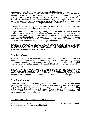circumstances, and the windvane gear can easily hold the boat on course. When the main and headsail are used, both sails may work to bring the bow to weather. To limit weather helm, as well as great increases in weather helm during a gust, each sail, but especially the main, should be TRIMMED LOOSE OR REEFED. This will slow the boat slightly. The effect is to make the sails spill their wind when a puff hits, minimizing the boat's tendency to round up. When weather helm decreases, the windvane gear is capable of pulling the boat back on course.

If problems continue, reduce sail area, especially the main, and continue to ease the sheets even though the leeches may flutter a bit.

In light winds or when the wind significantly drops, the boat will want to bear off downwind, especially if the main rudder has been used to compensate for a lot of weather helm. This is one of the chief reasons why the rudder should not be a primary factor in balancing the boat. In this case, carrying the main is actually helpful. As the boat veers off, the main will cover the headsail(s) and catch all the wind. This will move the pressure behind the mast and bring the boat back on course.

#### *THE CLUES TO SUCCESSFUL SELF-STEERING ON A REACH ARE TO AVOID EXCESSIVE CANVAS, TO RELY PRIMARILY ON THE HEADSAILS FOR POWER, TO SHEET THE SAILS LOOSELY, AND TO USE SAIL TRIM RATHER THAN THE MAIN RUDDER FOR BALANCING THE BOAT.*

#### 4.4.5 Hard To Weather

Most yachts can easily be made to self-steer when hard on the wind without using any windvane gear. Consequently, the windvane will have little problem keeping the boat on course. Because the movement is towards the wind, the velocity of the wind working the airvane sail increases by the speed of the boat. The vane's signals will be true and strong.

*THE BEST PERFORMANCE WILL BE GUARANTEED BY NOT KEEPING TOO MUCH SAIL AREA AND BY NOT SHEETING THE SAILS TOO HARD.* Over canvassing and oversheeting will only heel the boat unnecessarily inducing great weather helm which may become difficult for the windvane to control in a gust.

#### 4.4.6 Give It A Chance

Armed with these hints on balancing the boat on different points of sail, you should experience no difficulty in making the windvane gear steer your boat. After using the Saye's Rig awhile, it will steer even better. Sailors probably will have learned a thing or two about sailing and balancing the boat. Give everything a chance to work and remember that some learning is necessary to get the most from the windvane. The experimenting will certainly be worth it.

#### 4.5 Useful Hints To Get The Most Out Of Your Airvane

After setting up the windvane gear to steer your boat, remain in the cockpit for a couple of minutes observing the behavior of the boat.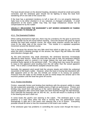The boat should remain on the desired heading, deviations should be small and quickly corrected, and the windvane gear should not be fighting to keep the boat from wandering off on one side of the course line.

If the boat has a persistent tendency to luff or bear off, it is not properly balanced. Sails have to be either sheeted in or out, reduced, or changed completely. A small adjustment of the boat's rudder may help, but large imbalances should not be compensated for by the rudder.

#### *USUALLY, RELEASING THE MAINSHEET A BIT WORKS WONDERS IN TAMING TENDENCIES TO ROUND UP.*

# 4.5.1 The Downwind Problem

When sailing downwind in light airs, there may be a tendency for the gear to permit the boat to wander too far off course before reacting. Once the airvane has given its signal sending the boat back towards course, the same tardy reaction causes the boat to cross to the other side of the course line. This results in a repeated serpentine movement around the desired course.

This is because the airvane has very little wind from which to take its cue. Normally, when the wind is blowing strongly on the airvane, the Saye's Rig will follow the small wind direction changes well.

As the wind becomes very weak downwind, the windvane becomes increasingly affected by other factors. When the boat rolls from side to side, the windvane (without strong apparent wind to control) it no longer follows the real wind direction. This produces faulty signals to the pendulum shaft. The rolling boat may cause the airvane to react to the apparent wind resulting from the roll rather than the actual apparent wind. This is when a small electric autopilot should be used.

Normally, the apparent wind would hold the airvane steady and inhibit the undesired movement of the boat's rudder. However, when the boat is moving fast downwind with little apparent wind on the sail, the trimtab can remain in its swung out position. Pressure from the wake on the trimtab as well as inertia keeps the airvane sail in the incorrect position until the boat has gone off course.

# 4.5.2 Friction And Binding

Friction, especially friction and binding that interferes with the airvane's ability to rotate the tab suspension assembly, is a deadly enemy of light air performance. Friction and binding may result from salt build-up in the vane's bearings. However, this problem usually disappears after some fresh water has been flushed through the ball bearings. Don't lubricate the bearings with oil, WD-40, etc., as this will result in a build-up of salt in the bearing and won't wash out.

In some boats the yacht's own steering is the culprit. The windvane gear is very powerful in a hard blow when the boat is moving fast, but performance drops dramatically in light airs if the boat's own steering has a lot of friction. Everything possible should be done to free the movement of the boat's own rudder.

If the windvane gear has problems in controlling the course even though the boat is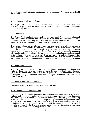properly balanced, friction and binding are the first suspects. All moving parts should be checked.

#### 5 Maintenance And Problem Solving

The Saye's Rig is remarkably trouble-free, and has almost no parts that need adjusting. However, there are a few things to keep in mind that will keep your windvane operating at full potential.

#### 5.1 Appearance

The Saye's Rig is made of bronze and 316 stainless steel. The trimtab is reinforced fiberglass. After fabrication, the individual stainless parts are electropolished in a chemical bath to remove impurities from the surface and welds of the metal. The individual parts are assembled to make a finished windvane gear.

The bronze castings are not affected by sea water and salt air, and will soon develop a green patina. The bronze is electrically compatible with stainless steel so galvanic corrosion is not a problem with the Saye's Rig. Stainless steel is a very hard metal alloy with a much harder surface than regular steel. Any time that stainless is handled with regular tools, the stainless picks up surface contamination from the softer material in these tools. After use in salt water, there may be some surface staining on the pendulum shaft. This can be cleaned off with metal polish. Since the pendulum shaft is 316 stainless steel, any staining will be minimal. After a couple of cleanings, it should not re-occur.

# 5.2 Regular Maintenance

The Saye's Rig bearings and bushings are made from materials that work better with water on them. Maintenance consists of hosing the gear with fresh water whenever you have the opportunity. Take care to flush all places that have bearings to clean out salt deposits. Regular rain often takes care of this job. Remember **don't use oil or other lubricants.**

# 5.3 Problem And Damage Prevention

Here are a few simple steps to keep your Saye's Rig safe.

# 5.3.1 Removing The Pendulum Shaft

Because the windvane gear is mounted outboard of the hull, it is vulnerable to collision. Unfortunately, vanes are run into by other less than expert skippers and are damaged. This can happen in a marina as well as in an anchorage. Fortunately, the Saye's Rig is less exposed then most other vanes. As previously mentioned, the pendulum shaft should be removed when not in use. The tiller arm is usually protected by the boat's hull although it would be a good practice not to lock the rudder so that it could move if the tiller arm was struck. The tiller arm can be removed from the rudder plates when the boat is not being used for long periods of time.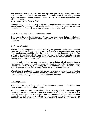The pendulum shaft is 316 stainless steel pipe and quite strong. Riding behind the hull, protected by the boat's own keel and rudder from forward impact and by its own ability to swing from sideways impact, chances are very small that the pendulum shaft will get damaged.

# 5.3.2 Removing The Airvane Mast

When planning not to use the Sayes Rig for any length of time, remove the airvane by simply lifting it off the base. This will reduce wear on the bearings, protect the unit from possible damage from collision and greatly prolong the life of the sail.

# 5.3.3 Using A Safety Line On The Pendulum Shaft

The only real threat to the pendulum shaft is dropping it overboard during installation or removal. Secure the pendulum shaft safety line to the boat to protect against this possibility.

#### 5.3.4 Heavy Weather

Hard winds and fast speeds make the Saye's Rig very powerful. Sailors have reported using the gear in extreme storm conditions. The only time when the boat would need to be hand steered would be when the boat is threatened by dangerous waves. The SAYE'S RIG cannot see a freak wave and in very big seas there can actually be a lack of wind at the bottom of the trough between two waves, which interferes with the steering ability of the windvane gear.

In really bad weather the windvane gear will do a better job of steering then a helmsman. The gear does not get tired. The boat is safe while the Saye's Rig is steering. The strain of big waves hitting the pendulum shaft is taken by the tiller arm, and the resistance from the boat's own rudder will act as a shock absorber.

When forced to hand steer while running before the wind, it is important that the clutch Link is secured in the "up" position so that the windvane does not interfere with your ability to steer. For longer periods the gear should be removed.

#### 6 Making Repairs

The sea punishes everything on a boat. The windvane is possibly the hardest working piece of equipment on a cruising sailboat.

The bronze and stainless construction of the Saye's Rig plus its extremely simple design with a minimum of moving parts has resulted in a unit that requires no "Spare Parts Kit" nor a maintenance schedule other then an occasional fresh water washing down. In the unlikely event of collision damage, bronze and stainless steel can be easily worked and/or welded. The corrosion resistant materials make it possible to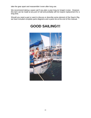take the gear apart and reassemble it even after long use.

We recommend taking a spare sail if you plan a year long (or longer) cruise. However, this item can be made at any port of call and probably will not require replacement for a long time.

Should you need a part or want to discuss or describe some element of the Saye's Rig, we have included complete parts diagrams and a parts list at the end of this manual.

# **GOOD SAILING!!!**

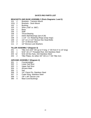# **SAYE'S RIG PARTS LIST**

# **BRACKETS AND BASE ASSEMBLY (Parts Diagrams 1 and 2)**

- 2 Brackets Transom Mount
- 101L 2 Brackets Deck Mount
- 1 Bushing
- 1 Shim (.030" or .060")
- 1 Base
- 1 Staff
- 1 Thrust Bearing
- 107 1 Delrin Ball Bearings (set of 28)
- 3 1-1/4" I.D. Retaining Rings (snap rings)
- 109 2 1/2"-13 x 3-1/2" Bronze Hex Head Bolts<br>110 2 1/2"-13 Bronze Nuts
- 2 1/2"-13 Bronze Nuts
- 111 2 1/2" Bronze Lock Washers

# **TILLER ASSEMBLY (Diagram 3)**

- 201 1 Tiller Arm  $(3/4"$  OD up to 5' long; 1" OD from 5' to 10' long)
- 1 5/16"-18 x 3" Threaded Rod, 316 Stainless Steel
- 12 5/16-18 Hex Nuts, 316 Stainless Steel
- 2 Tiller Plates, for either 3/4" OD or 1" OD Tiller Arm

# **AIRVANE ASSEMBLY (Diagram 4)**

- 1 Counterweight
- 1 Lower Sail Strut
- 1 Upper Sail Strut
- 1 Airvane Mast
- 1 Sail
- 1/4" Clevis Pin, Stainless Steel
- 3 Cotter Ring, Stainless Steel
- 1 1/8" x 48" Dacron Line
- 4 Mast Cord Bushings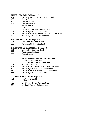# **CLUTCH ASSEMBLY (Diagram 5)**

- 401 1 1/4"-20 x 1/4" Set Screw, Stainless Steel<br>402 1 Bronze Collar
- 1 Bronze Collar
- 403 1 Clutch Housing
- 404 2 Clutch Locking Knob
- 404.1 2 3/8"-16 Jam Nut
- 405 1 Link<br>405.1 1 1/4"-
- 1/4"-20 x 3" Hex Bolt, Stainless Steel
- 405.2 1 1/4"-20 Nylock Nut, Stainless Steel
- 406 2 3/8"-16 x 1/-1/2" Set Screw (takes 3/32" allen wrench)
- 407 2 3/8"-16 Nylock Nut, Stainless Steel

# **TRIM TAB ASSEMBLY (Diagram 3)**

- 501 1 Trim Tab Watervane Paddle
- 502 1 Pendulum Shaft (5' standard)

# **TAB SUSPENSION ASSEMBLY (Diagram 6)**

- 601 1 Locking Pin, Stainless Steel
- 602 1 Tab Suspension Casting
- 603 1 Thrust Bearing
- 604 1 Sensitivity Adjustment Bar, Stainless Steel
- 605 1 Draw Bolt, Stainless Steel
- 606 1 1/2" x 20 Nylock Nut, Stainless Steel
- 607 1 Spring Pin, 1/8" x 1/2"
- 608 1 3/8"-16 x 1-3/4" Hex Head Bolt, Stainless Steel
- 609 1 3/8"-16 Nylock Jam Nut, Stainless Steel
- 1 1/4"-20 x 3/4" Hex Head Bolt, Stainless Steel
- 611 1 1/4"-20 Nylock Nut, Stainless Steel

# **STABILIZER ASSEMBLY (Diagram 3)**

- 701 1 Tab Counterweight<br>702 2 U-Bolt
- 2 U-Bolt
- 703 4 1/4"-20 Nylock Nut, Stainless Steel
- 704 4 1/4" Lock Washer, Stainless Steel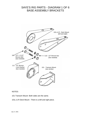# SAYE'S RIG PARTS - DIAGRAM 1 OF 6 BASE ASSEMBLY BRACKETS



# NOTES:

- 101 Transom Mount- Both sides are the same.
- 101L & R Deck Mount There is a left and right piece.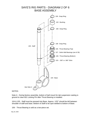

# NOTES:

Note A - During factory assembly, bottom of ball mount for tab suspension casting is ground to clear 601 Locking Pin after Thrust Bearing is installed.

104 & 105 - Staff must be pressed into Base. Approx. 1/32" should be left between shoulder of staff and base. Bottom of Staff to be spot-welded to bottom of Base.

106 - Thrust Bearing is sold as a two-piece set.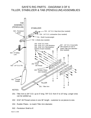# SAYE'S RIG PARTS - DIAGRAM 3 OF 6 TILLER, STABILIZER & TAB (PENDULUM) ASSEMBLIES



- 201 Tiller Arm is 3/4" O.D. up to 5' long; 7/8" O.D. from 5' to 10' long. Longer ones can be welded up.
- 202 5/16" All-Thread comes in one 36" length customer to cut pieces to size.
- 204 Rudder Plates to match Tiller Arm diameter.
- 502 Pendulum Shaft to 8'.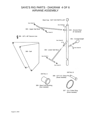# SAYE'S RIG PARTS - DIAGRAM 4 OF 6 AIRVANE ASSEMBLY

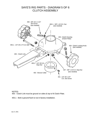# SAYE'S RIG PARTS - DIAGRAM 5 OF 6 CLUTCH ASSEMBLY



# NOTES:

405 - Clutch Link must be ground on sides & top to fit Clutch Plate.

405.1 - Bolt is ground flush to nut in factory installation.